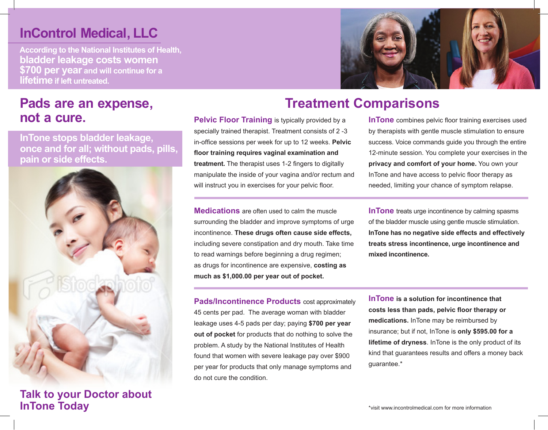## **InControl Medical, LLC**

**According to the National Institutes of Health, bladder leakage costs women \$700 per year and will continue for a lifetime if left untreated.** 

## **Pads are an expense, not a cure.**

**InTone stops bladder leakage, once and for all; without pads, pills, pain or side effects.**



**Talk to your Doctor about InTone Today**



## **Treatment Comparisons**

**Pelvic Floor Training is typically provided by a** specially trained therapist. Treatment consists of 2 -3 in-office sessions per week for up to 12 weeks. **Pelvic floor training requires vaginal examination and treatment.** The therapist uses 1-2 fingers to digitally manipulate the inside of your vagina and/or rectum and will instruct you in exercises for your pelvic floor.

**Medications** are often used to calm the muscle surrounding the bladder and improve symptoms of urge incontinence. **These drugs often cause side effects,** including severe constipation and dry mouth. Take time to read warnings before beginning a drug regimen; as drugs for incontinence are expensive, **costing as much as \$1,000.00 per year out of pocket.**

**Pads/Incontinence Products** cost approximately 45 cents per pad. The average woman with bladder leakage uses 4-5 pads per day; paying **\$700 per year out of pocket** for products that do nothing to solve the problem. A study by the National Institutes of Health found that women with severe leakage pay over \$900 per year for products that only manage symptoms and do not cure the condition.

**InTone** combines pelvic floor training exercises used by therapists with gentle muscle stimulation to ensure success. Voice commands guide you through the entire 12-minute session. You complete your exercises in the **privacy and comfort of your home.** You own your InTone and have access to pelvic floor therapy as needed, limiting your chance of symptom relapse.

**InTone** treats urge incontinence by calming spasms of the bladder muscle using gentle muscle stimulation. **InTone has no negative side effects and effectively treats stress incontinence, urge incontinence and mixed incontinence.**

**InTone is a solution for incontinence that costs less than pads, pelvic floor therapy or medications.** InTone may be reimbursed by insurance; but if not, InTone is **only \$595.00 for a lifetime of dryness**. InTone is the only product of its kind that guarantees results and offers a money back guarantee.\*